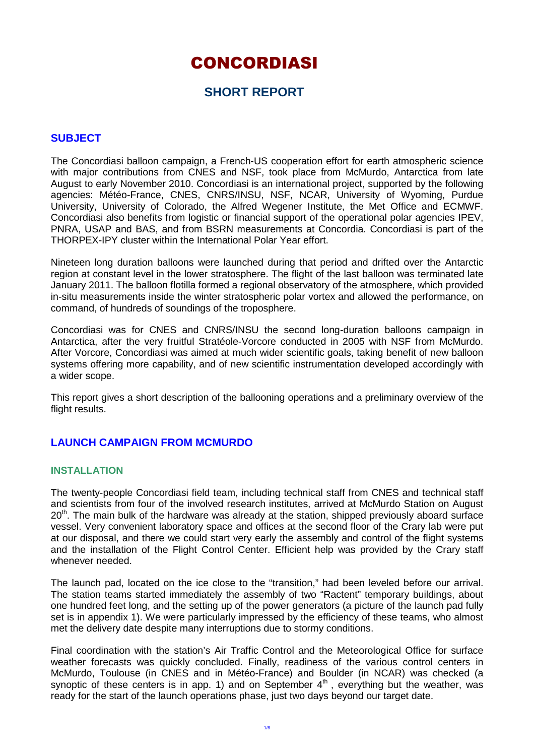# CONCORDIASI

# **SHORT REPORT**

#### **SUBJECT**

The Concordiasi balloon campaign, a French-US cooperation effort for earth atmospheric science with major contributions from CNES and NSF, took place from McMurdo, Antarctica from late August to early November 2010. Concordiasi is an international project, supported by the following agencies: Météo-France, CNES, CNRS/INSU, NSF, NCAR, University of Wyoming, Purdue University, University of Colorado, the Alfred Wegener Institute, the Met Office and ECMWF. Concordiasi also benefits from logistic or financial support of the operational polar agencies IPEV, PNRA, USAP and BAS, and from BSRN measurements at Concordia. Concordiasi is part of the THORPEX-IPY cluster within the International Polar Year effort.

Nineteen long duration balloons were launched during that period and drifted over the Antarctic region at constant level in the lower stratosphere. The flight of the last balloon was terminated late January 2011. The balloon flotilla formed a regional observatory of the atmosphere, which provided in-situ measurements inside the winter stratospheric polar vortex and allowed the performance, on command, of hundreds of soundings of the troposphere.

Concordiasi was for CNES and CNRS/INSU the second long-duration balloons campaign in Antarctica, after the very fruitful Stratéole-Vorcore conducted in 2005 with NSF from McMurdo. After Vorcore, Concordiasi was aimed at much wider scientific goals, taking benefit of new balloon systems offering more capability, and of new scientific instrumentation developed accordingly with a wider scope.

This report gives a short description of the ballooning operations and a preliminary overview of the flight results.

## **LAUNCH CAMPAIGN FROM MCMURDO**

#### **INSTALLATION**

The twenty-people Concordiasi field team, including technical staff from CNES and technical staff and scientists from four of the involved research institutes, arrived at McMurdo Station on August 20<sup>th</sup>. The main bulk of the hardware was already at the station, shipped previously aboard surface vessel. Very convenient laboratory space and offices at the second floor of the Crary lab were put at our disposal, and there we could start very early the assembly and control of the flight systems and the installation of the Flight Control Center. Efficient help was provided by the Crary staff whenever needed.

The launch pad, located on the ice close to the "transition," had been leveled before our arrival. The station teams started immediately the assembly of two "Ractent" temporary buildings, about one hundred feet long, and the setting up of the power generators (a picture of the launch pad fully set is in appendix 1). We were particularly impressed by the efficiency of these teams, who almost met the delivery date despite many interruptions due to stormy conditions.

Final coordination with the station's Air Traffic Control and the Meteorological Office for surface weather forecasts was quickly concluded. Finally, readiness of the various control centers in McMurdo, Toulouse (in CNES and in Météo-France) and Boulder (in NCAR) was checked (a synoptic of these centers is in app. 1) and on September  $4<sup>th</sup>$ , everything but the weather, was ready for the start of the launch operations phase, just two days beyond our target date.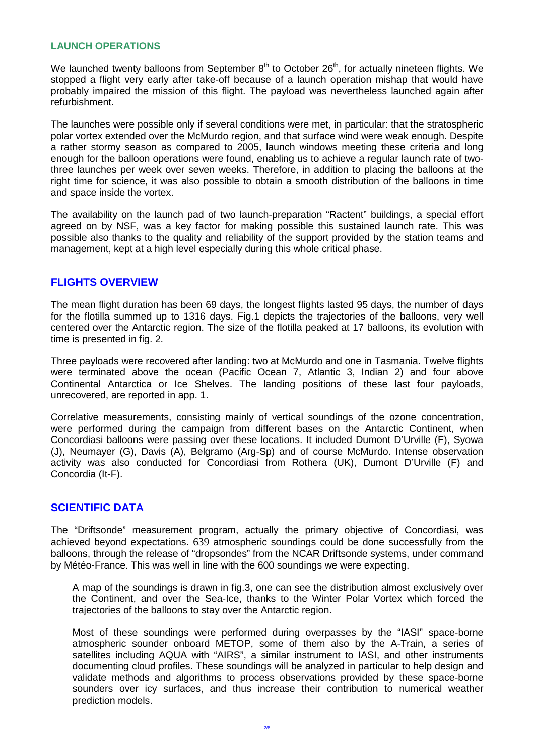#### **LAUNCH OPERATIONS**

We launched twenty balloons from September  $8<sup>th</sup>$  to October 26<sup>th</sup>, for actually nineteen flights. We stopped a flight very early after take-off because of a launch operation mishap that would have probably impaired the mission of this flight. The payload was nevertheless launched again after refurbishment.

The launches were possible only if several conditions were met, in particular: that the stratospheric polar vortex extended over the McMurdo region, and that surface wind were weak enough. Despite a rather stormy season as compared to 2005, launch windows meeting these criteria and long enough for the balloon operations were found, enabling us to achieve a regular launch rate of twothree launches per week over seven weeks. Therefore, in addition to placing the balloons at the right time for science, it was also possible to obtain a smooth distribution of the balloons in time and space inside the vortex.

The availability on the launch pad of two launch-preparation "Ractent" buildings, a special effort agreed on by NSF, was a key factor for making possible this sustained launch rate. This was possible also thanks to the quality and reliability of the support provided by the station teams and management, kept at a high level especially during this whole critical phase.

## **FLIGHTS OVERVIEW**

The mean flight duration has been 69 days, the longest flights lasted 95 days, the number of days for the flotilla summed up to 1316 days. Fig.1 depicts the trajectories of the balloons, very well centered over the Antarctic region. The size of the flotilla peaked at 17 balloons, its evolution with time is presented in fig. 2.

Three payloads were recovered after landing: two at McMurdo and one in Tasmania. Twelve flights were terminated above the ocean (Pacific Ocean 7, Atlantic 3, Indian 2) and four above Continental Antarctica or Ice Shelves. The landing positions of these last four payloads, unrecovered, are reported in app. 1.

Correlative measurements, consisting mainly of vertical soundings of the ozone concentration, were performed during the campaign from different bases on the Antarctic Continent, when Concordiasi balloons were passing over these locations. It included Dumont D'Urville (F), Syowa (J), Neumayer (G), Davis (A), Belgramo (Arg-Sp) and of course McMurdo. Intense observation activity was also conducted for Concordiasi from Rothera (UK), Dumont D'Urville (F) and Concordia (It-F).

#### **SCIENTIFIC DATA**

The "Driftsonde" measurement program, actually the primary objective of Concordiasi, was achieved beyond expectations. 639 atmospheric soundings could be done successfully from the balloons, through the release of "dropsondes" from the NCAR Driftsonde systems, under command by Météo-France. This was well in line with the 600 soundings we were expecting.

A map of the soundings is drawn in fig.3, one can see the distribution almost exclusively over the Continent, and over the Sea-Ice, thanks to the Winter Polar Vortex which forced the trajectories of the balloons to stay over the Antarctic region.

Most of these soundings were performed during overpasses by the "IASI" space-borne atmospheric sounder onboard METOP, some of them also by the A-Train, a series of satellites including AQUA with "AIRS", a similar instrument to IASI, and other instruments documenting cloud profiles. These soundings will be analyzed in particular to help design and validate methods and algorithms to process observations provided by these space-borne sounders over icy surfaces, and thus increase their contribution to numerical weather prediction models.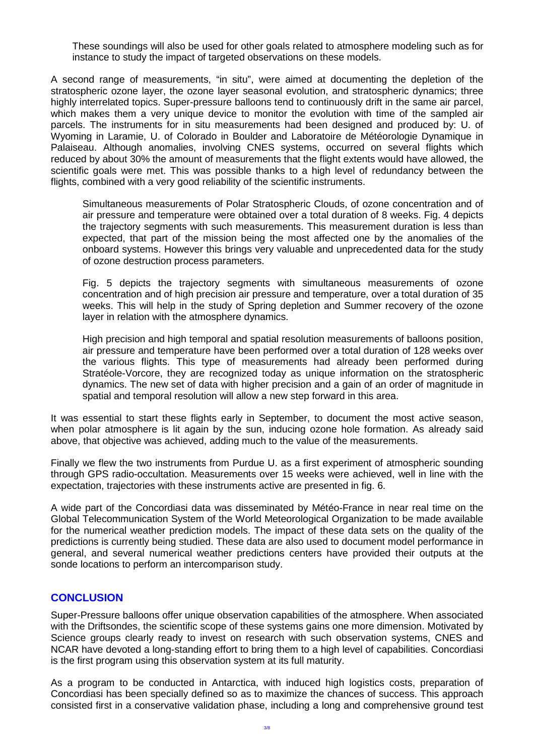These soundings will also be used for other goals related to atmosphere modeling such as for instance to study the impact of targeted observations on these models.

A second range of measurements, "in situ", were aimed at documenting the depletion of the stratospheric ozone layer, the ozone layer seasonal evolution, and stratospheric dynamics; three highly interrelated topics. Super-pressure balloons tend to continuously drift in the same air parcel, which makes them a very unique device to monitor the evolution with time of the sampled air parcels. The instruments for in situ measurements had been designed and produced by: U. of Wyoming in Laramie, U. of Colorado in Boulder and Laboratoire de Météorologie Dynamique in Palaiseau. Although anomalies, involving CNES systems, occurred on several flights which reduced by about 30% the amount of measurements that the flight extents would have allowed, the scientific goals were met. This was possible thanks to a high level of redundancy between the flights, combined with a very good reliability of the scientific instruments.

Simultaneous measurements of Polar Stratospheric Clouds, of ozone concentration and of air pressure and temperature were obtained over a total duration of 8 weeks. Fig. 4 depicts the trajectory segments with such measurements. This measurement duration is less than expected, that part of the mission being the most affected one by the anomalies of the onboard systems. However this brings very valuable and unprecedented data for the study of ozone destruction process parameters.

Fig. 5 depicts the trajectory segments with simultaneous measurements of ozone concentration and of high precision air pressure and temperature, over a total duration of 35 weeks. This will help in the study of Spring depletion and Summer recovery of the ozone layer in relation with the atmosphere dynamics.

High precision and high temporal and spatial resolution measurements of balloons position, air pressure and temperature have been performed over a total duration of 128 weeks over the various flights. This type of measurements had already been performed during Stratéole-Vorcore, they are recognized today as unique information on the stratospheric dynamics. The new set of data with higher precision and a gain of an order of magnitude in spatial and temporal resolution will allow a new step forward in this area.

It was essential to start these flights early in September, to document the most active season, when polar atmosphere is lit again by the sun, inducing ozone hole formation. As already said above, that objective was achieved, adding much to the value of the measurements.

Finally we flew the two instruments from Purdue U. as a first experiment of atmospheric sounding through GPS radio-occultation. Measurements over 15 weeks were achieved, well in line with the expectation, trajectories with these instruments active are presented in fig. 6.

A wide part of the Concordiasi data was disseminated by Météo-France in near real time on the Global Telecommunication System of the World Meteorological Organization to be made available for the numerical weather prediction models. The impact of these data sets on the quality of the predictions is currently being studied. These data are also used to document model performance in general, and several numerical weather predictions centers have provided their outputs at the sonde locations to perform an intercomparison study.

#### **CONCLUSION**

Super-Pressure balloons offer unique observation capabilities of the atmosphere. When associated with the Driftsondes, the scientific scope of these systems gains one more dimension. Motivated by Science groups clearly ready to invest on research with such observation systems, CNES and NCAR have devoted a long-standing effort to bring them to a high level of capabilities. Concordiasi is the first program using this observation system at its full maturity.

As a program to be conducted in Antarctica, with induced high logistics costs, preparation of Concordiasi has been specially defined so as to maximize the chances of success. This approach consisted first in a conservative validation phase, including a long and comprehensive ground test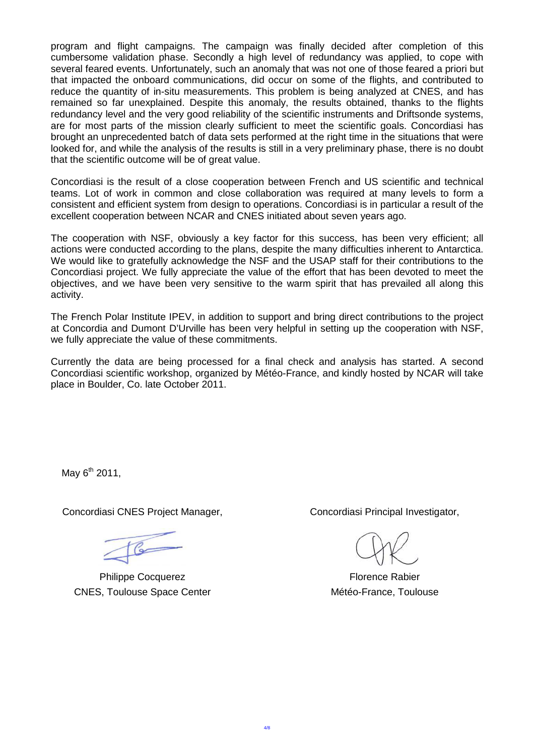program and flight campaigns. The campaign was finally decided after completion of this cumbersome validation phase. Secondly a high level of redundancy was applied, to cope with several feared events. Unfortunately, such an anomaly that was not one of those feared a priori but that impacted the onboard communications, did occur on some of the flights, and contributed to reduce the quantity of in-situ measurements. This problem is being analyzed at CNES, and has remained so far unexplained. Despite this anomaly, the results obtained, thanks to the flights redundancy level and the very good reliability of the scientific instruments and Driftsonde systems, are for most parts of the mission clearly sufficient to meet the scientific goals. Concordiasi has brought an unprecedented batch of data sets performed at the right time in the situations that were looked for, and while the analysis of the results is still in a very preliminary phase, there is no doubt that the scientific outcome will be of great value.

Concordiasi is the result of a close cooperation between French and US scientific and technical teams. Lot of work in common and close collaboration was required at many levels to form a consistent and efficient system from design to operations. Concordiasi is in particular a result of the excellent cooperation between NCAR and CNES initiated about seven years ago.

The cooperation with NSF, obviously a key factor for this success, has been very efficient; all actions were conducted according to the plans, despite the many difficulties inherent to Antarctica. We would like to gratefully acknowledge the NSF and the USAP staff for their contributions to the Concordiasi project. We fully appreciate the value of the effort that has been devoted to meet the objectives, and we have been very sensitive to the warm spirit that has prevailed all along this activity.

The French Polar Institute IPEV, in addition to support and bring direct contributions to the project at Concordia and Dumont D'Urville has been very helpful in setting up the cooperation with NSF, we fully appreciate the value of these commitments.

Currently the data are being processed for a final check and analysis has started. A second Concordiasi scientific workshop, organized by Météo-France, and kindly hosted by NCAR will take place in Boulder, Co. late October 2011.

May  $6^{th}$  2011,

Concordiasi CNES Project Manager, Concordiasi Principal Investigator,

 $\circ$ 

Philippe Cocquerez **Florence Rabier** Florence Rabier CNES, Toulouse Space Center Metéo-France, Toulouse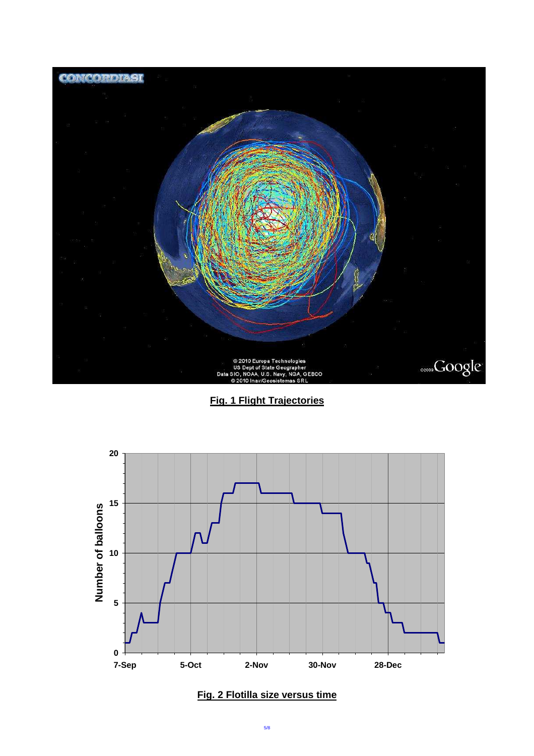

**Fig. 1 Flight Trajectories**



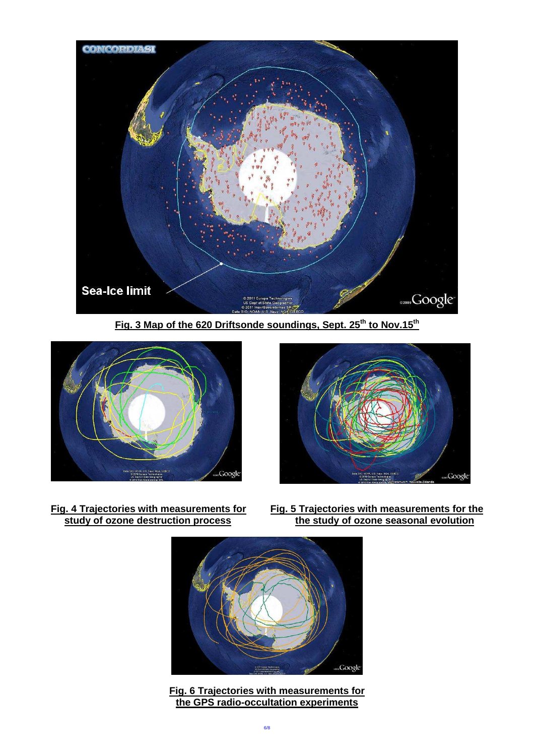

**Fig. 3 Map of the 620 Driftsonde soundings, Sept. 25 th to Nov.15th**





- 
- **Fig. 4 Trajectories with measurements for Fig. 5 Trajectories with measurements for the study of ozone seasonal evolution the study of ozone seasonal evolution**



**Fig. 6 Trajectories with measurements for the GPS radio-occultation experiments**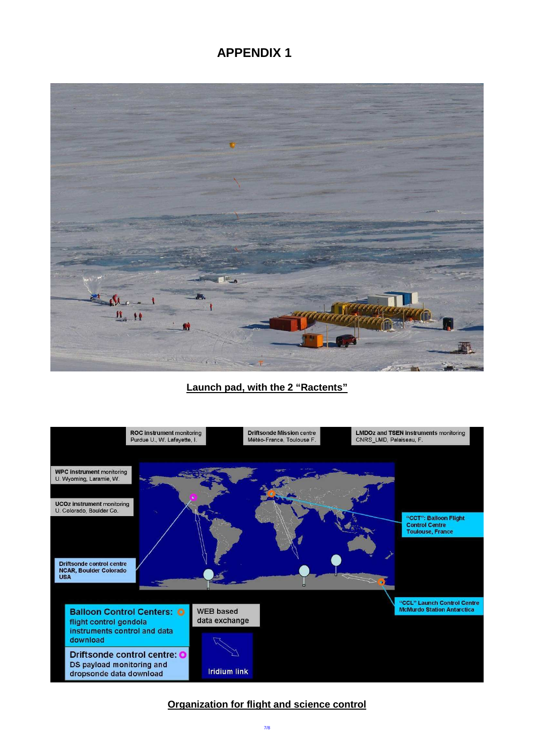# **APPENDIX 1**



## **Launch pad, with the 2 "Ractents"**



## **Organization for flight and science control**